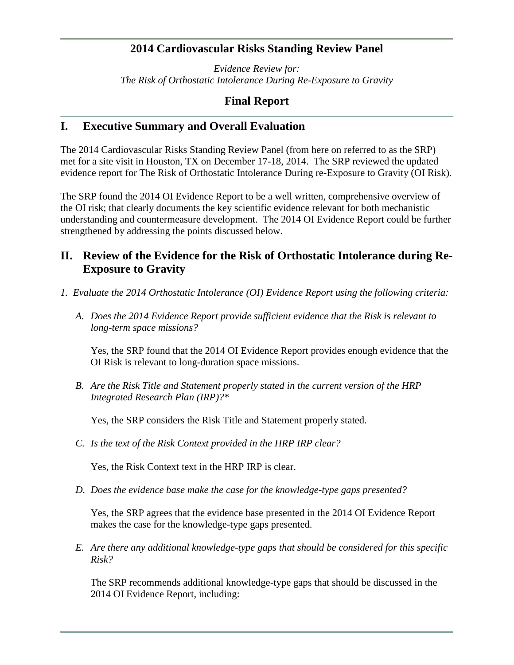# **2014 Cardiovascular Risks Standing Review Panel**

*Evidence Review for: The Risk of Orthostatic Intolerance During Re-Exposure to Gravity*

# **Final Report**

## **I. Executive Summary and Overall Evaluation**

The 2014 Cardiovascular Risks Standing Review Panel (from here on referred to as the SRP) met for a site visit in Houston, TX on December 17-18, 2014. The SRP reviewed the updated evidence report for The Risk of Orthostatic Intolerance During re-Exposure to Gravity (OI Risk).

The SRP found the 2014 OI Evidence Report to be a well written, comprehensive overview of the OI risk; that clearly documents the key scientific evidence relevant for both mechanistic understanding and countermeasure development. The 2014 OI Evidence Report could be further strengthened by addressing the points discussed below.

# **II. Review of the Evidence for the Risk of Orthostatic Intolerance during Re-Exposure to Gravity**

- *1. Evaluate the 2014 Orthostatic Intolerance (OI) Evidence Report using the following criteria:*
	- *A. Does the 2014 Evidence Report provide sufficient evidence that the Risk is relevant to long-term space missions?*

Yes, the SRP found that the 2014 OI Evidence Report provides enough evidence that the OI Risk is relevant to long-duration space missions.

*B. Are the Risk Title and Statement properly stated in the current version of the HRP Integrated Research Plan (IRP)?\**

Yes, the SRP considers the Risk Title and Statement properly stated.

*C. Is the text of the Risk Context provided in the HRP IRP clear?*

Yes, the Risk Context text in the HRP IRP is clear.

*D. Does the evidence base make the case for the knowledge-type gaps presented?*

Yes, the SRP agrees that the evidence base presented in the 2014 OI Evidence Report makes the case for the knowledge-type gaps presented.

*E. Are there any additional knowledge-type gaps that should be considered for this specific Risk?*

The SRP recommends additional knowledge-type gaps that should be discussed in the 2014 OI Evidence Report, including: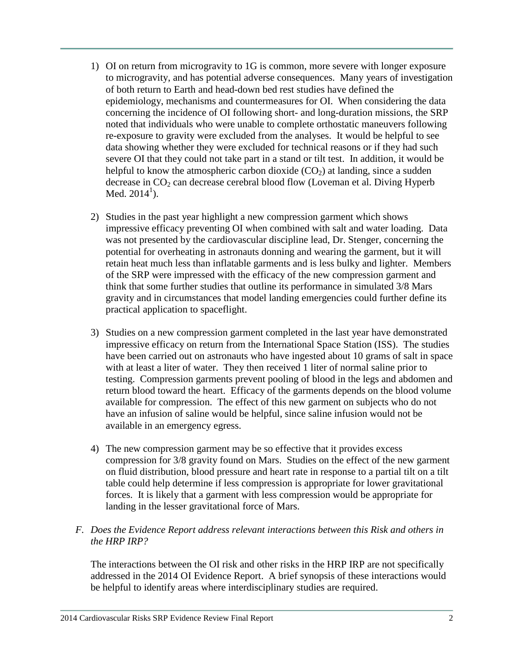- 1) OI on return from microgravity to 1G is common, more severe with longer exposure to microgravity, and has potential adverse consequences. Many years of investigation of both return to Earth and head-down bed rest studies have defined the epidemiology, mechanisms and countermeasures for OI. When considering the data concerning the incidence of OI following short- and long-duration missions, the SRP noted that individuals who were unable to complete orthostatic maneuvers following re-exposure to gravity were excluded from the analyses. It would be helpful to see data showing whether they were excluded for technical reasons or if they had such severe OI that they could not take part in a stand or tilt test. In addition, it would be helpful to know the atmospheric carbon dioxide  $(CO<sub>2</sub>)$  at landing, since a sudden decrease in  $CO<sub>2</sub>$  can decrease cerebral blood flow (Loveman et al. Diving Hyperb Med.  $2014^1$ ).
- 2) Studies in the past year highlight a new compression garment which shows impressive efficacy preventing OI when combined with salt and water loading. Data was not presented by the cardiovascular discipline lead, Dr. Stenger, concerning the potential for overheating in astronauts donning and wearing the garment, but it will retain heat much less than inflatable garments and is less bulky and lighter. Members of the SRP were impressed with the efficacy of the new compression garment and think that some further studies that outline its performance in simulated 3/8 Mars gravity and in circumstances that model landing emergencies could further define its practical application to spaceflight.
- 3) Studies on a new compression garment completed in the last year have demonstrated impressive efficacy on return from the International Space Station (ISS). The studies have been carried out on astronauts who have ingested about 10 grams of salt in space with at least a liter of water. They then received 1 liter of normal saline prior to testing. Compression garments prevent pooling of blood in the legs and abdomen and return blood toward the heart. Efficacy of the garments depends on the blood volume available for compression. The effect of this new garment on subjects who do not have an infusion of saline would be helpful, since saline infusion would not be available in an emergency egress.
- 4) The new compression garment may be so effective that it provides excess compression for 3/8 gravity found on Mars. Studies on the effect of the new garment on fluid distribution, blood pressure and heart rate in response to a partial tilt on a tilt table could help determine if less compression is appropriate for lower gravitational forces. It is likely that a garment with less compression would be appropriate for landing in the lesser gravitational force of Mars.

### *F. Does the Evidence Report address relevant interactions between this Risk and others in the HRP IRP?*

The interactions between the OI risk and other risks in the HRP IRP are not specifically addressed in the 2014 OI Evidence Report. A brief synopsis of these interactions would be helpful to identify areas where interdisciplinary studies are required.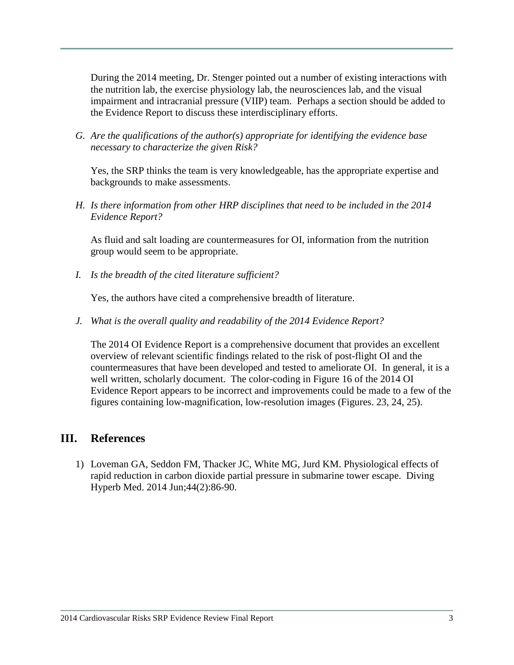During the 2014 meeting, Dr. Stenger pointed out a number of existing interactions with the nutrition lab, the exercise physiology lab, the neurosciences lab, and the visual impairment and intracranial pressure (VIIP) team. Perhaps a section should be added to the Evidence Report to discuss these interdisciplinary efforts.

*G. Are the qualifications of the author(s) appropriate for identifying the evidence base necessary to characterize the given Risk?*

Yes, the SRP thinks the team is very knowledgeable, has the appropriate expertise and backgrounds to make assessments.

*H. Is there information from other HRP disciplines that need to be included in the 2014 Evidence Report?*

As fluid and salt loading are countermeasures for OI, information from the nutrition group would seem to be appropriate.

*I. Is the breadth of the cited literature sufficient?*

Yes, the authors have cited a comprehensive breadth of literature.

*J. What is the overall quality and readability of the 2014 Evidence Report?*

The 2014 OI Evidence Report is a comprehensive document that provides an excellent overview of relevant scientific findings related to the risk of post-flight OI and the countermeasures that have been developed and tested to ameliorate OI. In general, it is a well written, scholarly document. The color-coding in Figure 16 of the 2014 OI Evidence Report appears to be incorrect and improvements could be made to a few of the figures containing low-magnification, low-resolution images (Figures. 23, 24, 25).

# **III. References**

1) Loveman GA, Seddon FM, Thacker JC, White MG, Jurd KM. [Physiological effects of](http://www.ncbi.nlm.nih.gov/pubmed/24986726)  rapid reduction in carbon dioxide [partial pressure in](http://www.ncbi.nlm.nih.gov/pubmed/24986726) submarine tower escape. Diving Hyperb Med. 2014 Jun;44(2):86-90.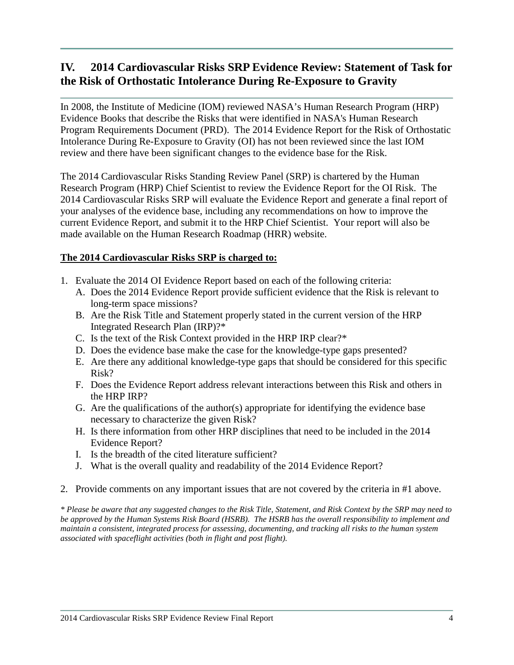# **IV. 2014 Cardiovascular Risks SRP Evidence Review: Statement of Task for the Risk of Orthostatic Intolerance During Re-Exposure to Gravity**

In 2008, the Institute of Medicine (IOM) reviewed NASA's Human Research Program (HRP) Evidence Books that describe the Risks that were identified in NASA's Human Research Program Requirements Document (PRD). The 2014 Evidence Report for the Risk of Orthostatic Intolerance During Re-Exposure to Gravity (OI) has not been reviewed since the last IOM review and there have been significant changes to the evidence base for the Risk.

The 2014 Cardiovascular Risks Standing Review Panel (SRP) is chartered by the Human Research Program (HRP) Chief Scientist to review the Evidence Report for the OI Risk. The 2014 Cardiovascular Risks SRP will evaluate the Evidence Report and generate a final report of your analyses of the evidence base, including any recommendations on how to improve the current Evidence Report, and submit it to the HRP Chief Scientist. Your report will also be made available on the Human Research Roadmap (HRR) website.

#### **The 2014 Cardiovascular Risks SRP is charged to:**

- 1. Evaluate the 2014 OI Evidence Report based on each of the following criteria:
	- A. Does the 2014 Evidence Report provide sufficient evidence that the Risk is relevant to long-term space missions?
	- B. Are the Risk Title and Statement properly stated in the current version of the HRP Integrated Research Plan (IRP)?\*
	- C. Is the text of the Risk Context provided in the HRP IRP clear?\*
	- D. Does the evidence base make the case for the knowledge-type gaps presented?
	- E. Are there any additional knowledge-type gaps that should be considered for this specific Risk?
	- F. Does the Evidence Report address relevant interactions between this Risk and others in the HRP IRP?
	- G. Are the qualifications of the author(s) appropriate for identifying the evidence base necessary to characterize the given Risk?
	- H. Is there information from other HRP disciplines that need to be included in the 2014 Evidence Report?
	- I. Is the breadth of the cited literature sufficient?
	- J. What is the overall quality and readability of the 2014 Evidence Report?
- 2. Provide comments on any important issues that are not covered by the criteria in #1 above.

*\* Please be aware that any suggested changes to the Risk Title, Statement, and Risk Context by the SRP may need to be approved by the Human Systems Risk Board (HSRB). The HSRB has the overall responsibility to implement and maintain a consistent, integrated process for assessing, documenting, and tracking all risks to the human system associated with spaceflight activities (both in flight and post flight).*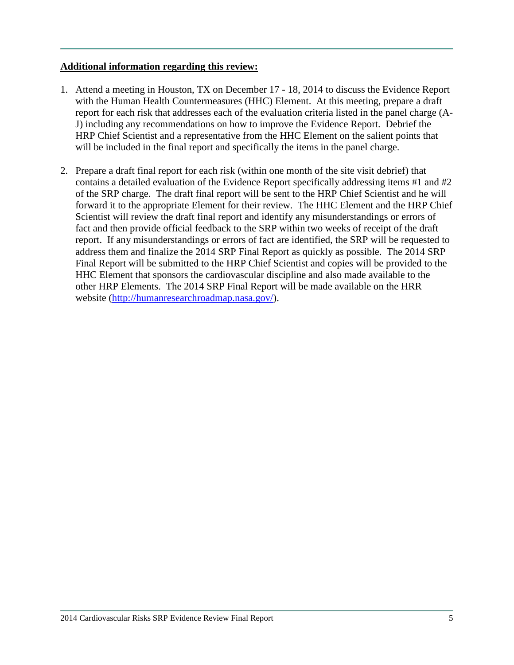#### **Additional information regarding this review:**

- 1. Attend a meeting in Houston, TX on December 17 18, 2014 to discuss the Evidence Report with the Human Health Countermeasures (HHC) Element. At this meeting, prepare a draft report for each risk that addresses each of the evaluation criteria listed in the panel charge (A-J) including any recommendations on how to improve the Evidence Report. Debrief the HRP Chief Scientist and a representative from the HHC Element on the salient points that will be included in the final report and specifically the items in the panel charge.
- 2. Prepare a draft final report for each risk (within one month of the site visit debrief) that contains a detailed evaluation of the Evidence Report specifically addressing items #1 and #2 of the SRP charge. The draft final report will be sent to the HRP Chief Scientist and he will forward it to the appropriate Element for their review. The HHC Element and the HRP Chief Scientist will review the draft final report and identify any misunderstandings or errors of fact and then provide official feedback to the SRP within two weeks of receipt of the draft report. If any misunderstandings or errors of fact are identified, the SRP will be requested to address them and finalize the 2014 SRP Final Report as quickly as possible. The 2014 SRP Final Report will be submitted to the HRP Chief Scientist and copies will be provided to the HHC Element that sponsors the cardiovascular discipline and also made available to the other HRP Elements. The 2014 SRP Final Report will be made available on the HRR website [\(http://humanresearchroadmap.nasa.gov/\)](http://humanresearchroadmap.nasa.gov/).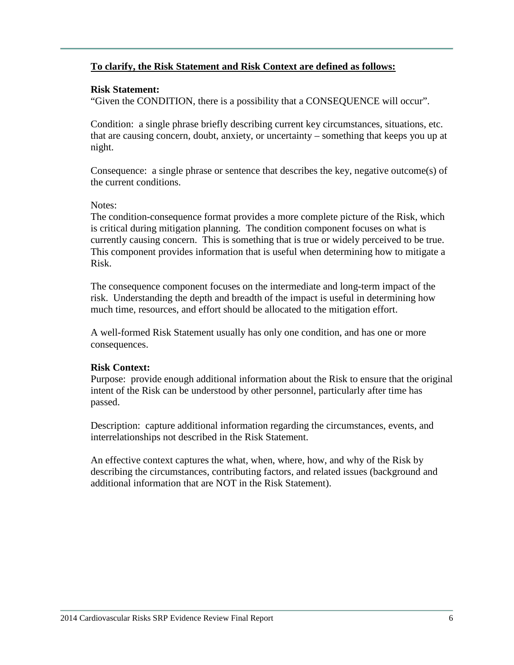### **To clarify, the Risk Statement and Risk Context are defined as follows:**

#### **Risk Statement:**

"Given the CONDITION, there is a possibility that a CONSEQUENCE will occur".

Condition: a single phrase briefly describing current key circumstances, situations, etc. that are causing concern, doubt, anxiety, or uncertainty – something that keeps you up at night.

Consequence: a single phrase or sentence that describes the key, negative outcome(s) of the current conditions.

#### Notes:

The condition-consequence format provides a more complete picture of the Risk, which is critical during mitigation planning. The condition component focuses on what is currently causing concern. This is something that is true or widely perceived to be true. This component provides information that is useful when determining how to mitigate a Risk.

The consequence component focuses on the intermediate and long-term impact of the risk. Understanding the depth and breadth of the impact is useful in determining how much time, resources, and effort should be allocated to the mitigation effort.

A well-formed Risk Statement usually has only one condition, and has one or more consequences.

#### **Risk Context:**

Purpose: provide enough additional information about the Risk to ensure that the original intent of the Risk can be understood by other personnel, particularly after time has passed.

Description: capture additional information regarding the circumstances, events, and interrelationships not described in the Risk Statement.

An effective context captures the what, when, where, how, and why of the Risk by describing the circumstances, contributing factors, and related issues (background and additional information that are NOT in the Risk Statement).